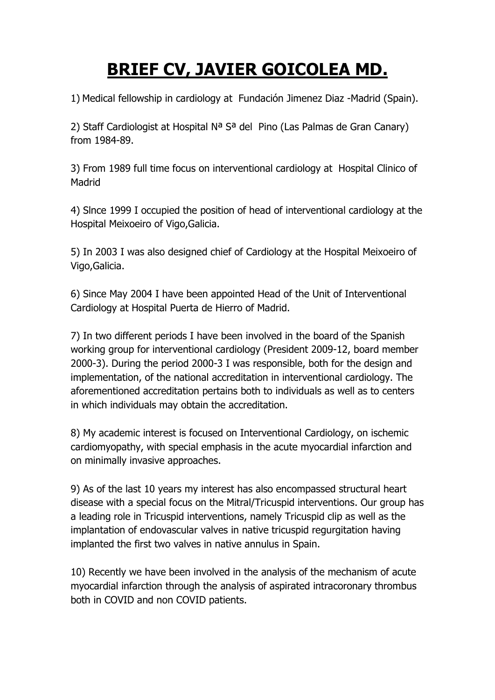## **BRIEF CV, JAVIER GOICOLEA MD.**

1) Medical fellowship in cardiology at Fundación Jimenez Diaz -Madrid (Spain).

2) Staff Cardiologist at Hospital N<sup>a</sup> S<sup>a</sup> del Pino (Las Palmas de Gran Canary) from 1984-89.

3) From 1989 full time focus on interventional cardiology at Hospital Clinico of Madrid

4) Slnce 1999 I occupied the position of head of interventional cardiology at the Hospital Meixoeiro of Vigo,Galicia.

5) In 2003 I was also designed chief of Cardiology at the Hospital Meixoeiro of Vigo,Galicia.

6) Since May 2004 I have been appointed Head of the Unit of Interventional Cardiology at Hospital Puerta de Hierro of Madrid.

7) In two different periods I have been involved in the board of the Spanish working group for interventional cardiology (President 2009-12, board member 2000-3). During the period 2000-3 I was responsible, both for the design and implementation, of the national accreditation in interventional cardiology. The aforementioned accreditation pertains both to individuals as well as to centers in which individuals may obtain the accreditation.

8) My academic interest is focused on Interventional Cardiology, on ischemic cardiomyopathy, with special emphasis in the acute myocardial infarction and on minimally invasive approaches.

9) As of the last 10 years my interest has also encompassed structural heart disease with a special focus on the Mitral/Tricuspid interventions. Our group has a leading role in Tricuspid interventions, namely Tricuspid clip as well as the implantation of endovascular valves in native tricuspid regurgitation having implanted the first two valves in native annulus in Spain.

10) Recently we have been involved in the analysis of the mechanism of acute myocardial infarction through the analysis of aspirated intracoronary thrombus both in COVID and non COVID patients.